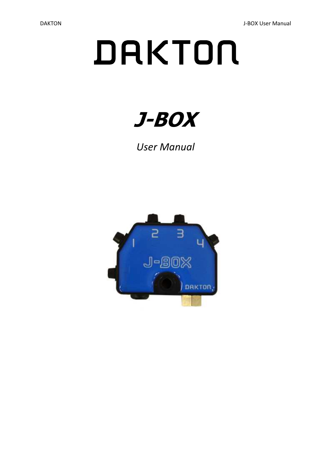# DAKTON



User Manual

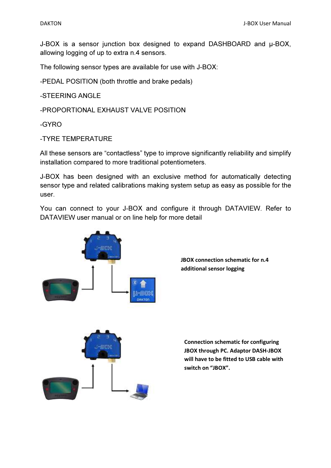J-BOX is a sensor junction box designed to expand DASHBOARD and  $\mu$ -BOX, allowing logging of up to extra n.4 sensors.

The following sensor types are available for use with J-BOX:

-PEDAL POSITION (both throttle and brake pedals)

-STEERING ANGLE

-PROPORTIONAL EXHAUST VALVE POSITION

-GYRO

-TYRE TEMPERATURE

All these sensors are "contactless" type to improve significantly reliability and simplify installation compared to more traditional potentiometers.

J-BOX has been designed with an exclusive method for automatically detecting sensor type and related calibrations making system setup as easy as possible for the user.

You can connect to your J-BOX and configure it through DATAVIEW. Refer to DATAVIEW user manual or on line help for more detail





JBOX connection schematic for n.4 additional sensor logging

Connection schematic for configuring JBOX through PC. Adaptor DASH-JBOX will have to be fitted to USB cable with switch on "JBOX".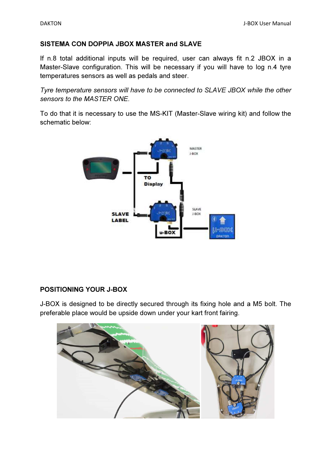### SISTEMA CON DOPPIA JBOX MASTER and SLAVE

If n.8 total additional inputs will be required, user can always fit n.2 JBOX in a Master-Slave configuration. This will be necessary if you will have to log n.4 tyre temperatures sensors as well as pedals and steer.

Tyre temperature sensors will have to be connected to SLAVE JBOX while the other sensors to the MASTER ONE.

To do that it is necessary to use the MS-KIT (Master-Slave wiring kit) and follow the schematic below:



# POSITIONING YOUR J-BOX

J-BOX is designed to be directly secured through its fixing hole and a M5 bolt. The preferable place would be upside down under your kart front fairing.

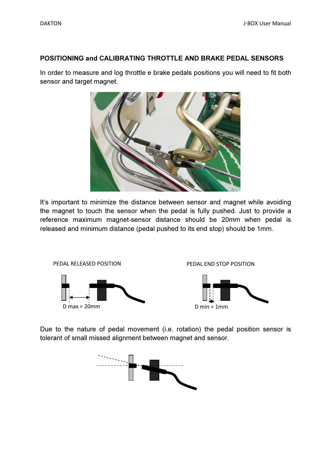#### POSITIONING and CALIBRATING THROTTLE AND BRAKE PEDAL SENSORS

In order to measure and log throttle e brake pedals positions you will need to fit both sensor and target magnet.



It's important to minimize the distance between sensor and magnet while avoiding the magnet to touch the sensor when the pedal is fully pushed. Just to provide a reference maximum magnet-sensor distance should be 20mm when pedal is released and minimum distance (pedal pushed to its end stop) should be 1mm.



Due to the nature of pedal movement (i.e. rotation) the pedal position sensor is tolerant of small missed alignment between magnet and sensor.

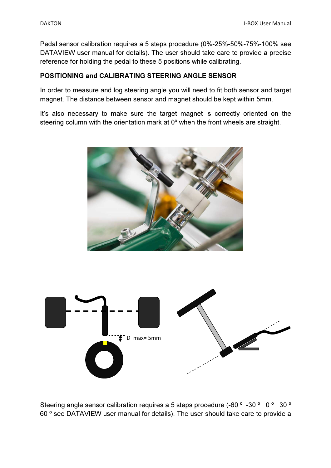Pedal sensor calibration requires a 5 steps procedure (0%-25%-50%-75%-100% see DATAVIEW user manual for details). The user should take care to provide a precise reference for holding the pedal to these 5 positions while calibrating.

## POSITIONING and CALIBRATING STEERING ANGLE SENSOR

In order to measure and log steering angle you will need to fit both sensor and target magnet. The distance between sensor and magnet should be kept within 5mm.

It's also necessary to make sure the target magnet is correctly oriented on the steering column with the orientation mark at 0<sup>o</sup> when the front wheels are straight.





Steering angle sensor calibration requires a 5 steps procedure (-60 ° -30 ° 0 ° 30 ° 60 º see DATAVIEW user manual for details). The user should take care to provide a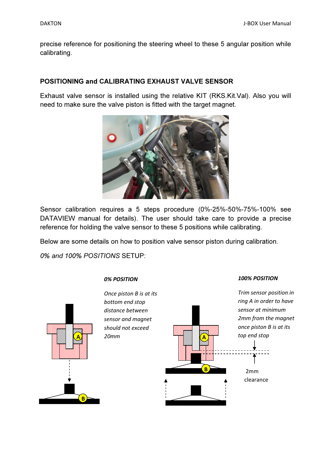precise reference for positioning the steering wheel to these 5 angular position while calibrating.

## POSITIONING and CALIBRATING EXHAUST VALVE SENSOR

Exhaust valve sensor is installed using the relative KIT (RKS.Kit.Val). Also you will need to make sure the valve piston is fitted with the target magnet.



Sensor calibration requires a 5 steps procedure (0%-25%-50%-75%-100% see DATAVIEW manual for details). The user should take care to provide a precise reference for holding the valve sensor to these 5 positions while calibrating.

Below are some details on how to position valve sensor piston during calibration.

0% and 100% POSITIONS SETUP:



#### 0% POSITION



#### 100% POSITION